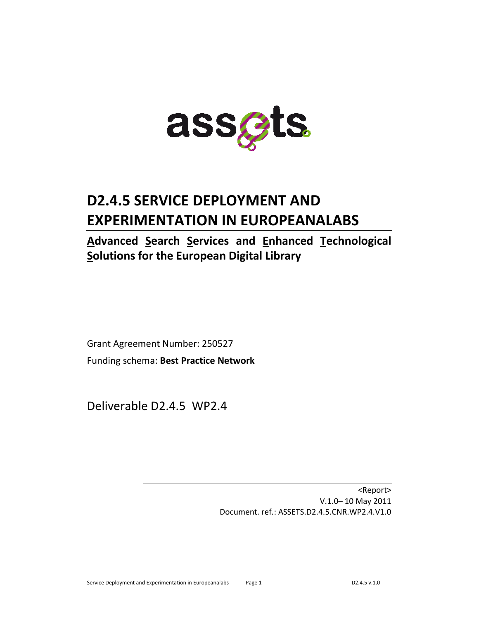

# **D2.4.5 SERVICE DEPLOYMENT AND EXPERIMENTATION IN EUROPEANALABS**

## **Advanced Search Services and Enhanced Technological Solutions for the European Digital Library**

Grant Agreement Number: 250527 Funding schema: **Best Practice Network**

Deliverable D2.4.5 WP2.4

<Report> V.1.0– 10 May 2011 Document. ref.: ASSETS.D2.4.5.CNR.WP2.4.V1.0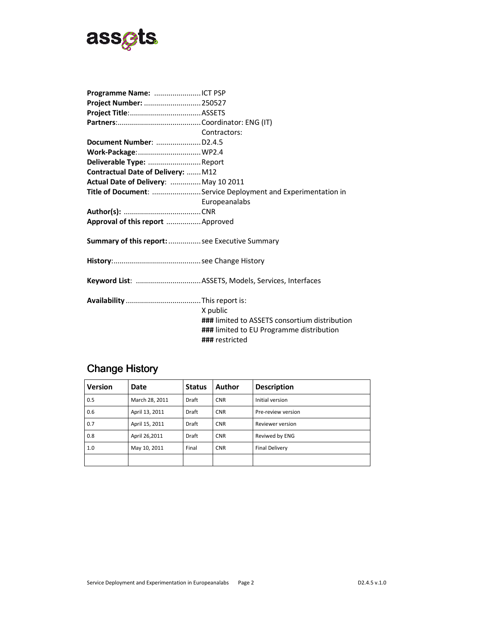

| Project Number:  250527                                      |  |  |  |  |  |
|--------------------------------------------------------------|--|--|--|--|--|
|                                                              |  |  |  |  |  |
|                                                              |  |  |  |  |  |
| Contractors:                                                 |  |  |  |  |  |
| Document Number:  D2.4.5                                     |  |  |  |  |  |
| Work-Package: WP2.4                                          |  |  |  |  |  |
| Deliverable Type: Report                                     |  |  |  |  |  |
| Contractual Date of Delivery:  M12                           |  |  |  |  |  |
| Actual Date of Delivery:  May 10 2011                        |  |  |  |  |  |
| Title of Document: Service Deployment and Experimentation in |  |  |  |  |  |
| Europeanalabs                                                |  |  |  |  |  |
|                                                              |  |  |  |  |  |
|                                                              |  |  |  |  |  |
| Approval of this report  Approved                            |  |  |  |  |  |
| Summary of this report:  see Executive Summary               |  |  |  |  |  |
|                                                              |  |  |  |  |  |
|                                                              |  |  |  |  |  |
|                                                              |  |  |  |  |  |

## Change History

| <b>Version</b> | Date           | <b>Status</b> | Author     | <b>Description</b>    |
|----------------|----------------|---------------|------------|-----------------------|
| 0.5            | March 28, 2011 | Draft         | <b>CNR</b> | Initial version       |
| 0.6            | April 13, 2011 | Draft         | <b>CNR</b> | Pre-review version    |
| 0.7            | April 15, 2011 | Draft         | <b>CNR</b> | Reviewer version      |
| 0.8            | April 26,2011  | <b>Draft</b>  | <b>CNR</b> | Reviwed by ENG        |
| 1.0            | May 10, 2011   | Final         | <b>CNR</b> | <b>Final Delivery</b> |
|                |                |               |            |                       |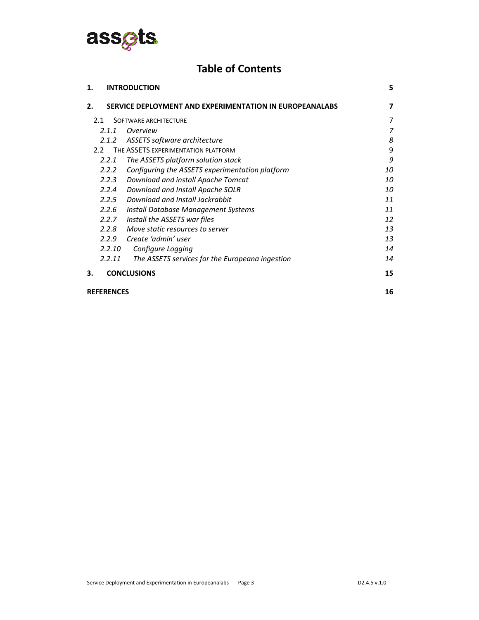

### **Table of Contents**

| 1.                | <b>INTRODUCTION</b>                                     | 5  |
|-------------------|---------------------------------------------------------|----|
| $\mathbf{2}$      | SERVICE DEPLOYMENT AND EXPERIMENTATION IN EUROPEANALABS | 7  |
| 2.1               | SOFTWARE ARCHITECTURE                                   | 7  |
| 2.1.1             | Overview                                                | 7  |
| 2.1.2             | ASSETS software architecture                            | 8  |
| 2.2               | THE ASSETS EXPERIMENTATION PLATFORM                     | 9  |
| 2.2.1             | The ASSETS platform solution stack                      | 9  |
| 2.2.2             | Configuring the ASSETS experimentation platform         | 10 |
| 2.2.3             | Download and install Apache Tomcat                      | 10 |
| 2.2.4             | Download and Install Apache SOLR                        | 10 |
| 2.2.5             | Download and Install Jackrabbit                         | 11 |
| 2.2.6             | Install Database Management Systems                     | 11 |
| 2.2.7             | Install the ASSETS war files                            | 12 |
| 2.2.8             | Move static resources to server                         | 13 |
| 2.2.9             | Create 'admin' user                                     | 13 |
| 2.2.10            | Configure Logging                                       | 14 |
| 2.2.11            | The ASSETS services for the Europeana ingestion         | 14 |
| З.                | <b>CONCLUSIONS</b>                                      | 15 |
| <b>REFERENCES</b> |                                                         | 16 |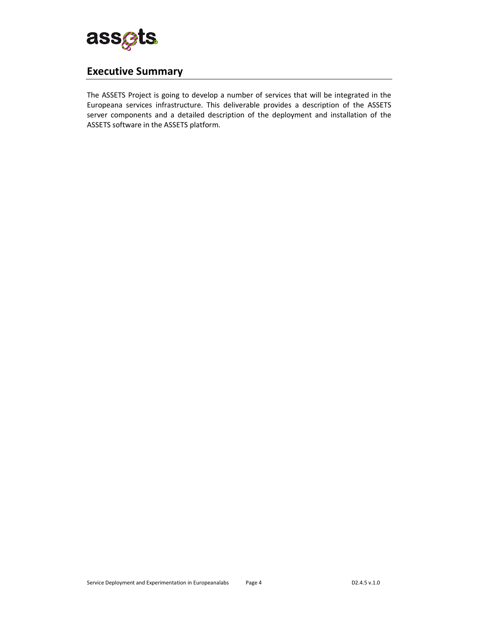

### **Executive Summary**

The ASSETS Project is going to develop a number of services that will be integrated in the Europeana services infrastructure. This deliverable provides a description of the ASSETS server components and a detailed description of the deployment and installation of the ASSETS software in the ASSETS platform.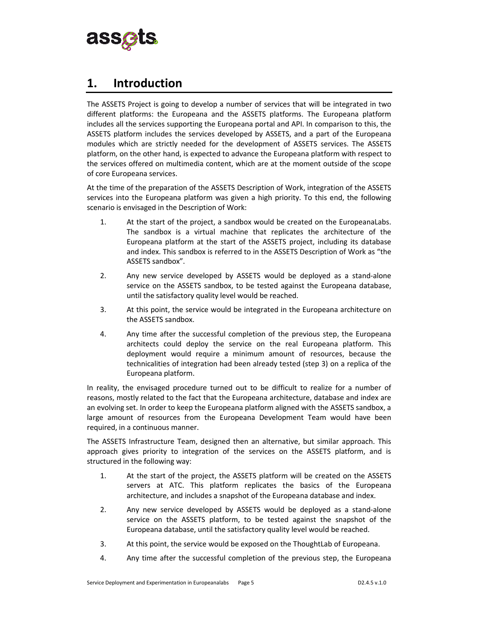

### **1. Introduction**

The ASSETS Project is going to develop a number of services that will be integrated in two different platforms: the Europeana and the ASSETS platforms. The Europeana platform includes all the services supporting the Europeana portal and API. In comparison to this, the ASSETS platform includes the services developed by ASSETS, and a part of the Europeana modules which are strictly needed for the development of ASSETS services. The ASSETS platform, on the other hand, is expected to advance the Europeana platform with respect to the services offered on multimedia content, which are at the moment outside of the scope of core Europeana services.

At the time of the preparation of the ASSETS Description of Work, integration of the ASSETS services into the Europeana platform was given a high priority. To this end, the following scenario is envisaged in the Description of Work:

- 1. At the start of the project, a sandbox would be created on the EuropeanaLabs. The sandbox is a virtual machine that replicates the architecture of the Europeana platform at the start of the ASSETS project, including its database and index. This sandbox is referred to in the ASSETS Description of Work as "the ASSETS sandbox".
- 2. Any new service developed by ASSETS would be deployed as a stand-alone service on the ASSETS sandbox, to be tested against the Europeana database, until the satisfactory quality level would be reached.
- 3. At this point, the service would be integrated in the Europeana architecture on the ASSETS sandbox.
- 4. Any time after the successful completion of the previous step, the Europeana architects could deploy the service on the real Europeana platform. This deployment would require a minimum amount of resources, because the technicalities of integration had been already tested (step 3) on a replica of the Europeana platform.

In reality, the envisaged procedure turned out to be difficult to realize for a number of reasons, mostly related to the fact that the Europeana architecture, database and index are an evolving set. In order to keep the Europeana platform aligned with the ASSETS sandbox, a large amount of resources from the Europeana Development Team would have been required, in a continuous manner.

The ASSETS Infrastructure Team, designed then an alternative, but similar approach. This approach gives priority to integration of the services on the ASSETS platform, and is structured in the following way:

- 1. At the start of the project, the ASSETS platform will be created on the ASSETS servers at ATC. This platform replicates the basics of the Europeana architecture, and includes a snapshot of the Europeana database and index.
- 2. Any new service developed by ASSETS would be deployed as a stand-alone service on the ASSETS platform, to be tested against the snapshot of the Europeana database, until the satisfactory quality level would be reached.
- 3. At this point, the service would be exposed on the ThoughtLab of Europeana.
- 4. Any time after the successful completion of the previous step, the Europeana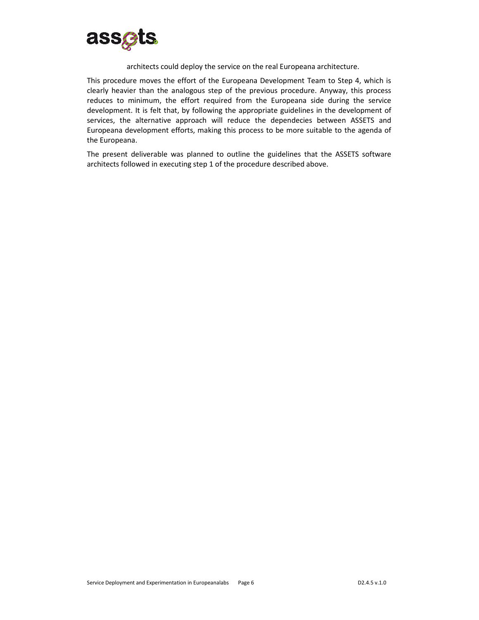

#### architects could deploy the service on the real Europeana architecture.

This procedure moves the effort of the Europeana Development Team to Step 4, which is clearly heavier than the analogous step of the previous procedure. Anyway, this process reduces to minimum, the effort required from the Europeana side during the service development. It is felt that, by following the appropriate guidelines in the development of services, the alternative approach will reduce the dependecies between ASSETS and Europeana development efforts, making this process to be more suitable to the agenda of the Europeana.

The present deliverable was planned to outline the guidelines that the ASSETS software architects followed in executing step 1 of the procedure described above.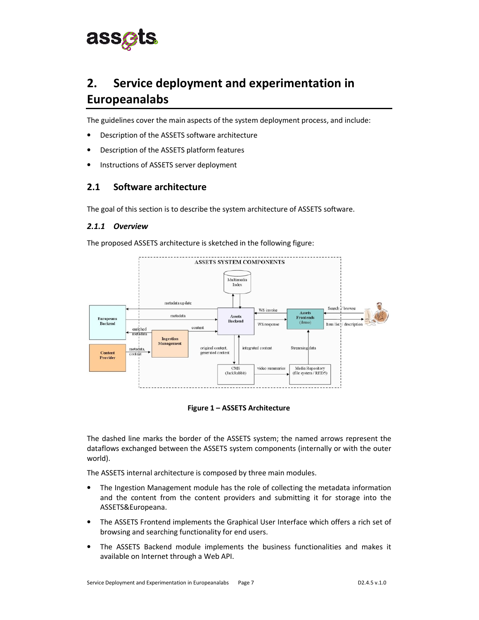

## **2. Service deployment and experimentation in Europeanalabs**

The guidelines cover the main aspects of the system deployment process, and include:

- Description of the ASSETS software architecture
- Description of the ASSETS platform features
- Instructions of ASSETS server deployment

#### **2.1 Software architecture**

The goal of this section is to describe the system architecture of ASSETS software.

#### *2.1.1 Overview*

The proposed ASSETS architecture is sketched in the following figure:





The dashed line marks the border of the ASSETS system; the named arrows represent the dataflows exchanged between the ASSETS system components (internally or with the outer world).

The ASSETS internal architecture is composed by three main modules.

- The Ingestion Management module has the role of collecting the metadata information and the content from the content providers and submitting it for storage into the ASSETS&Europeana.
- The ASSETS Frontend implements the Graphical User Interface which offers a rich set of browsing and searching functionality for end users.
- The ASSETS Backend module implements the business functionalities and makes it available on Internet through a Web API.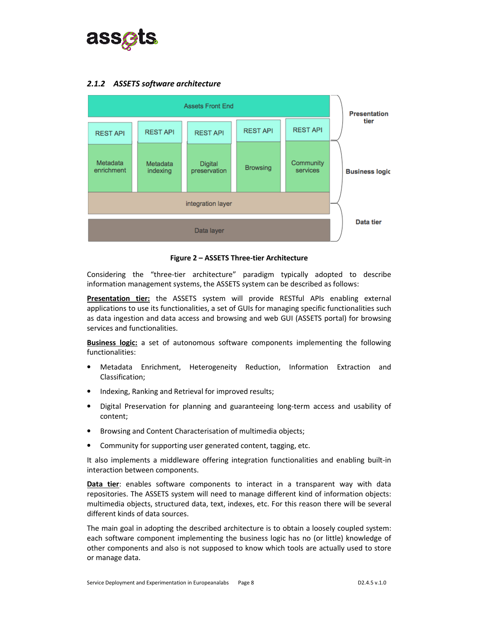

#### *2.1.2 ASSETS software architecture*



**Figure 2 – ASSETS Three-tier Architecture** 

Considering the "three-tier architecture" paradigm typically adopted to describe information management systems, the ASSETS system can be described as follows:

**Presentation tier:** the ASSETS system will provide RESTful APIs enabling external applications to use its functionalities, a set of GUIs for managing specific functionalities such as data ingestion and data access and browsing and web GUI (ASSETS portal) for browsing services and functionalities.

**Business logic:** a set of autonomous software components implementing the following functionalities:

- Metadata Enrichment, Heterogeneity Reduction, Information Extraction and Classification;
- Indexing, Ranking and Retrieval for improved results;
- Digital Preservation for planning and guaranteeing long-term access and usability of content;
- Browsing and Content Characterisation of multimedia objects;
- Community for supporting user generated content, tagging, etc.

It also implements a middleware offering integration functionalities and enabling built-in interaction between components.

**Data tier**: enables software components to interact in a transparent way with data repositories. The ASSETS system will need to manage different kind of information objects: multimedia objects, structured data, text, indexes, etc. For this reason there will be several different kinds of data sources.

The main goal in adopting the described architecture is to obtain a loosely coupled system: each software component implementing the business logic has no (or little) knowledge of other components and also is not supposed to know which tools are actually used to store or manage data.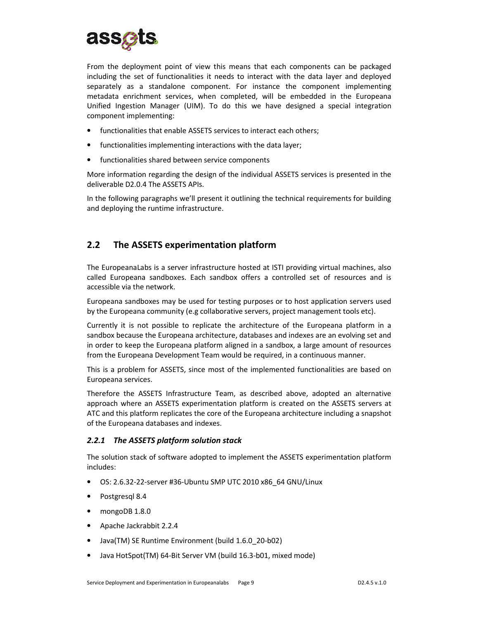

From the deployment point of view this means that each components can be packaged including the set of functionalities it needs to interact with the data layer and deployed separately as a standalone component. For instance the component implementing metadata enrichment services, when completed, will be embedded in the Europeana Unified Ingestion Manager (UIM). To do this we have designed a special integration component implementing:

- functionalities that enable ASSETS services to interact each others:
- functionalities implementing interactions with the data layer;
- functionalities shared between service components

More information regarding the design of the individual ASSETS services is presented in the deliverable D2.0.4 The ASSETS APIs.

In the following paragraphs we'll present it outlining the technical requirements for building and deploying the runtime infrastructure.

### **2.2 The ASSETS experimentation platform**

The EuropeanaLabs is a server infrastructure hosted at ISTI providing virtual machines, also called Europeana sandboxes. Each sandbox offers a controlled set of resources and is accessible via the network.

Europeana sandboxes may be used for testing purposes or to host application servers used by the Europeana community (e.g collaborative servers, project management tools etc).

Currently it is not possible to replicate the architecture of the Europeana platform in a sandbox because the Europeana architecture, databases and indexes are an evolving set and in order to keep the Europeana platform aligned in a sandbox, a large amount of resources from the Europeana Development Team would be required, in a continuous manner.

This is a problem for ASSETS, since most of the implemented functionalities are based on Europeana services.

Therefore the ASSETS Infrastructure Team, as described above, adopted an alternative approach where an ASSETS experimentation platform is created on the ASSETS servers at ATC and this platform replicates the core of the Europeana architecture including a snapshot of the Europeana databases and indexes.

#### *2.2.1 The ASSETS platform solution stack*

The solution stack of software adopted to implement the ASSETS experimentation platform includes:

- OS: 2.6.32-22-server #36-Ubuntu SMP UTC 2010 x86\_64 GNU/Linux
- Postgresql 8.4
- mongoDB 1.8.0
- Apache Jackrabbit 2.2.4
- Java(TM) SE Runtime Environment (build 1.6.0\_20-b02)
- Java HotSpot(TM) 64-Bit Server VM (build 16.3-b01, mixed mode)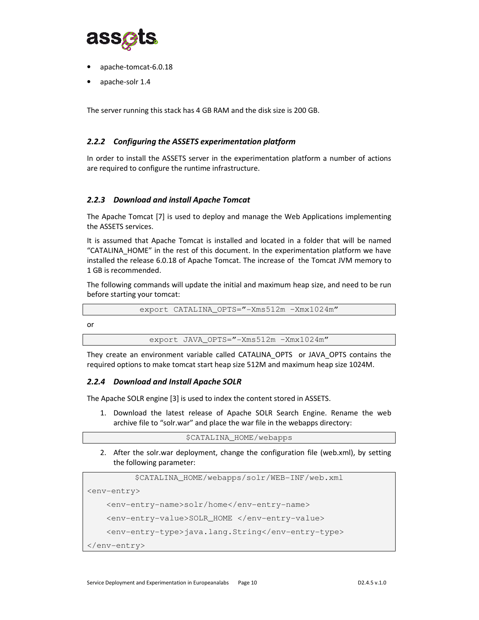

- apache-tomcat-6.0.18
- apache-solr 1.4

The server running this stack has 4 GB RAM and the disk size is 200 GB.

#### *2.2.2 Configuring the ASSETS experimentation platform*

In order to install the ASSETS server in the experimentation platform a number of actions are required to configure the runtime infrastructure.

#### *2.2.3 Download and install Apache Tomcat*

The Apache Tomcat [7] is used to deploy and manage the Web Applications implementing the ASSETS services.

It is assumed that Apache Tomcat is installed and located in a folder that will be named "CATALINA\_HOME" in the rest of this document. In the experimentation platform we have installed the release 6.0.18 of Apache Tomcat. The increase of the Tomcat JVM memory to 1 GB is recommended.

The following commands will update the initial and maximum heap size, and need to be run before starting your tomcat:

export CATALINA\_OPTS="-Xms512m –Xmx1024m"

or

export JAVA OPTS="-Xms512m -Xmx1024m"

They create an environment variable called CATALINA\_OPTS or JAVA\_OPTS contains the required options to make tomcat start heap size 512M and maximum heap size 1024M.

#### *2.2.4 Download and Install Apache SOLR*

The Apache SOLR engine [3] is used to index the content stored in ASSETS.

1. Download the latest release of Apache SOLR Search Engine. Rename the web archive file to "solr.war" and place the war file in the webapps directory:

\$CATALINA\_HOME/webapps

2. After the solr.war deployment, change the configuration file (web.xml), by setting the following parameter:

```
$CATALINA_HOME/webapps/solr/WEB-INF/web.xml
```
<env-entry>

```
 <env-entry-name>solr/home</env-entry-name>
```

```
 <env-entry-value>SOLR_HOME </env-entry-value>
```

```
 <env-entry-type>java.lang.String</env-entry-type>
```

```
</env-entry>
```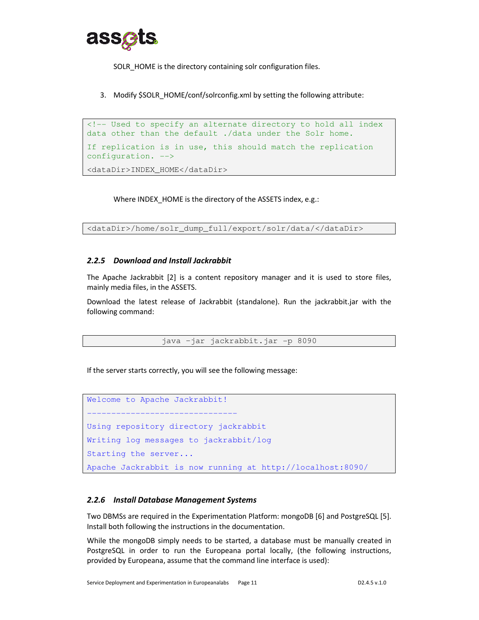

SOLR HOME is the directory containing solr configuration files.

3. Modify \$SOLR\_HOME/conf/solrconfig.xml by setting the following attribute:

```
<!-- Used to specify an alternate directory to hold all index 
data other than the default ./data under the Solr home. 
If replication is in use, this should match the replication 
configuration. --> 
<dataDir>INDEX_HOME</dataDir>
```
Where INDEX HOME is the directory of the ASSETS index, e.g.:

<dataDir>/home/solr\_dump\_full/export/solr/data/</dataDir>

#### *2.2.5 Download and Install Jackrabbit*

The Apache Jackrabbit [2] is a content repository manager and it is used to store files, mainly media files, in the ASSETS.

Download the latest release of Jackrabbit (standalone). Run the jackrabbit.jar with the following command:

```
java –jar jackrabbit.jar -p 8090
```
If the server starts correctly, you will see the following message:

```
Welcome to Apache Jackrabbit!
------------------------------- 
Using repository directory jackrabbit 
Writing log messages to jackrabbit/log 
Starting the server... 
Apache Jackrabbit is now running at http://localhost:8090/
```
#### *2.2.6 Install Database Management Systems*

Two DBMSs are required in the Experimentation Platform: mongoDB [6] and PostgreSQL [5]. Install both following the instructions in the documentation.

While the mongoDB simply needs to be started, a database must be manually created in PostgreSQL in order to run the Europeana portal locally, (the following instructions, provided by Europeana, assume that the command line interface is used):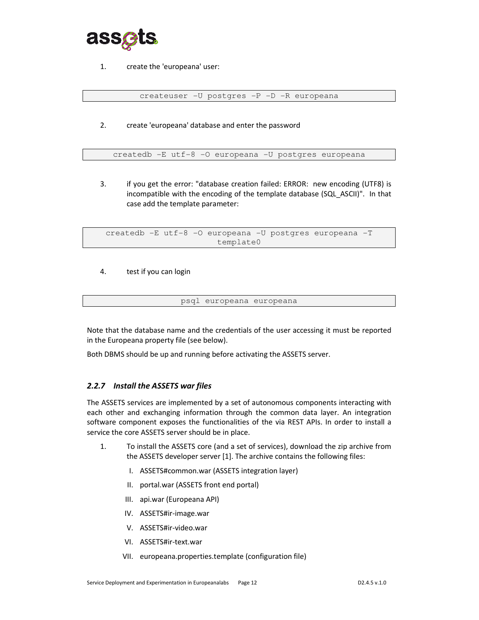

1. create the 'europeana' user:

createuser -U postgres -P -D -R europeana

2. create 'europeana' database and enter the password

createdb -E utf-8 -O europeana -U postgres europeana

3. if you get the error: "database creation failed: ERROR: new encoding (UTF8) is incompatible with the encoding of the template database (SQL\_ASCII)". In that case add the template parameter:

createdb -E utf-8 -O europeana -U postgres europeana -T template0

4. test if you can login

psql europeana europeana

Note that the database name and the credentials of the user accessing it must be reported in the Europeana property file (see below).

Both DBMS should be up and running before activating the ASSETS server.

#### *2.2.7 Install the ASSETS war files*

The ASSETS services are implemented by a set of autonomous components interacting with each other and exchanging information through the common data layer. An integration software component exposes the functionalities of the via REST APIs. In order to install a service the core ASSETS server should be in place.

- 1. To install the ASSETS core (and a set of services), download the zip archive from the ASSETS developer server [1]. The archive contains the following files:
	- I. ASSETS#common.war (ASSETS integration layer)
	- II. portal.war (ASSETS front end portal)
	- III. api.war (Europeana API)
	- IV. ASSETS#ir-image.war
	- V. ASSETS#ir-video.war
	- VI. ASSETS#ir-text.war
	- VII. europeana.properties.template (configuration file)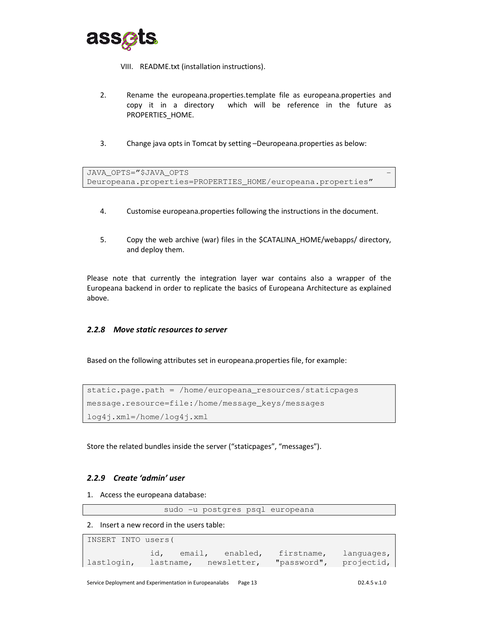

VIII. README.txt (installation instructions).

- 2. Rename the europeana.properties.template file as europeana.properties and copy it in a directory which will be reference in the future as PROPERTIES\_HOME.
- 3. Change java opts in Tomcat by setting –Deuropeana.properties as below:

```
JAVA_OPTS="$JAVA_OPTS
Deuropeana.properties=PROPERTIES_HOME/europeana.properties"
```
- 4. Customise europeana.properties following the instructions in the document.
- 5. Copy the web archive (war) files in the \$CATALINA\_HOME/webapps/ directory, and deploy them.

Please note that currently the integration layer war contains also a wrapper of the Europeana backend in order to replicate the basics of Europeana Architecture as explained above.

#### *2.2.8 Move static resources to server*

Based on the following attributes set in europeana.properties file, for example:

```
static.page.path = /home/europeana_resources/staticpages 
message.resource=file:/home/message_keys/messages 
log4j.xml=/home/log4j.xml
```
Store the related bundles inside the server ("staticpages", "messages").

#### *2.2.9 Create 'admin' user*

1. Access the europeana database:

sudo -u postgres psql europeana

2. Insert a new record in the users table:

```
INSERT INTO users( 
            id, email, enabled, firstname, languages, 
lastlogin, lastname, newsletter, "password", projectid,
```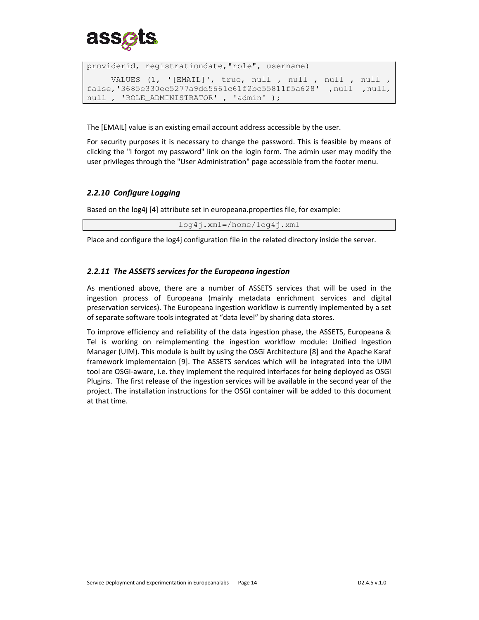

```
providerid, registrationdate,"role", username) 
      VALUES (1, '[EMAIL]', true, null , null , null , null , 
false,'3685e330ec5277a9dd5661c61f2bc55811f5a628' ,null ,null, 
null , 'ROLE_ADMINISTRATOR' , 'admin' );
```
The [EMAIL] value is an existing email account address accessible by the user.

For security purposes it is necessary to change the password. This is feasible by means of clicking the "I forgot my password" link on the login form. The admin user may modify the user privileges through the "User Administration" page accessible from the footer menu.

#### *2.2.10 Configure Logging*

Based on the log4j [4] attribute set in europeana.properties file, for example:

log4j.xml=/home/log4j.xml

Place and configure the log4j configuration file in the related directory inside the server.

#### *2.2.11 The ASSETS services for the Europeana ingestion*

As mentioned above, there are a number of ASSETS services that will be used in the ingestion process of Europeana (mainly metadata enrichment services and digital preservation services). The Europeana ingestion workflow is currently implemented by a set of separate software tools integrated at "data level" by sharing data stores.

To improve efficiency and reliability of the data ingestion phase, the ASSETS, Europeana & Tel is working on reimplementing the ingestion workflow module: Unified Ingestion Manager (UIM). This module is built by using the OSGi Architecture [8] and the Apache Karaf framework implementaion [9]. The ASSETS services which will be integrated into the UIM tool are OSGI-aware, i.e. they implement the required interfaces for being deployed as OSGI Plugins. The first release of the ingestion services will be available in the second year of the project. The installation instructions for the OSGI container will be added to this document at that time.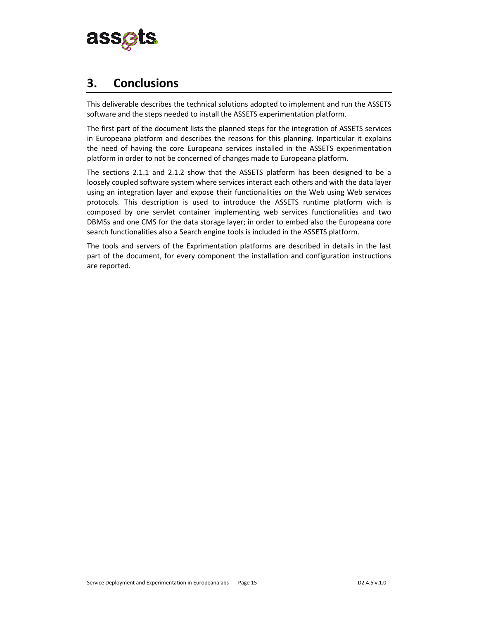

### **3. Conclusions**

This deliverable describes the technical solutions adopted to implement and run the ASSETS software and the steps needed to install the ASSETS experimentation platform.

The first part of the document lists the planned steps for the integration of ASSETS services in Europeana platform and describes the reasons for this planning. Inparticular it explains the need of having the core Europeana services installed in the ASSETS experimentation platform in order to not be concerned of changes made to Europeana platform.

The sections 2.1.1 and 2.1.2 show that the ASSETS platform has been designed to be a loosely coupled software system where services interact each others and with the data layer using an integration layer and expose their functionalities on the Web using Web services protocols. This description is used to introduce the ASSETS runtime platform wich is composed by one servlet container implementing web services functionalities and two DBMSs and one CMS for the data storage layer; in order to embed also the Europeana core search functionalities also a Search engine tools is included in the ASSETS platform.

The tools and servers of the Exprimentation platforms are described in details in the last part of the document, for every component the installation and configuration instructions are reported.